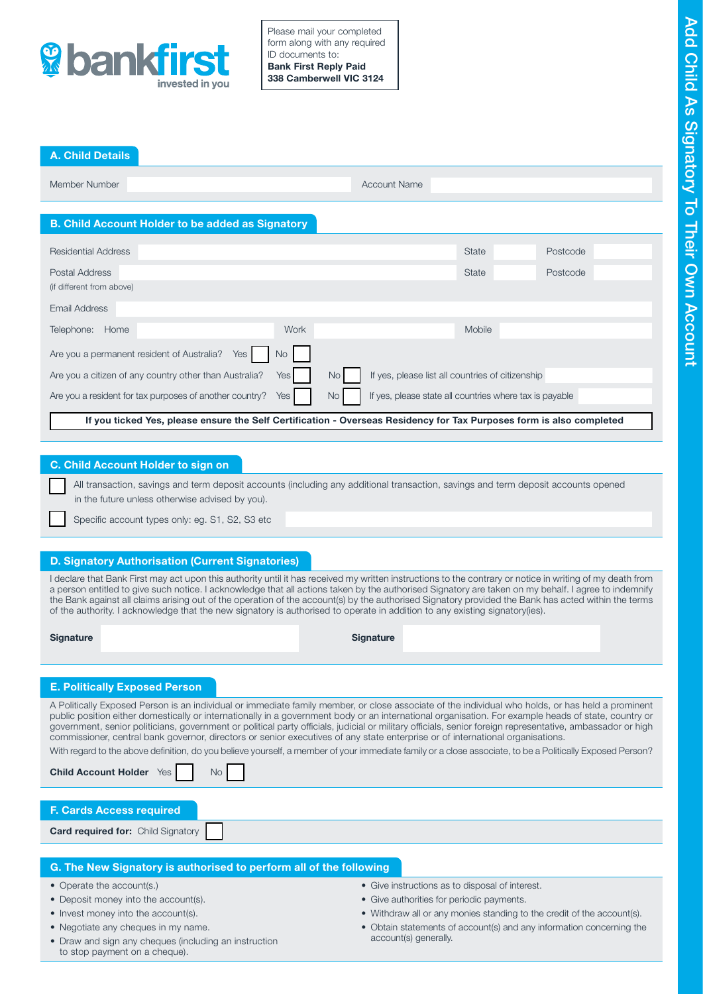

Please mail your completed form along with any required ID documents to: Bank First Reply Paid 338 Camberwell VIC 3124

## A. Child Details

Member Number Account Name

# B. Child Account Holder to be added as Signatory

| <b>Residential Address</b>                                                                                           |     |      |      |                                                         | <b>State</b> | Postcode |  |  |
|----------------------------------------------------------------------------------------------------------------------|-----|------|------|---------------------------------------------------------|--------------|----------|--|--|
| Postal Address                                                                                                       |     |      |      |                                                         | State        | Postcode |  |  |
| (if different from above)                                                                                            |     |      |      |                                                         |              |          |  |  |
| Email Address                                                                                                        |     |      |      |                                                         |              |          |  |  |
| Telephone:<br>Home                                                                                                   |     | Work |      |                                                         | Mobile       |          |  |  |
| Are you a permanent resident of Australia?                                                                           | Yes | No.  |      |                                                         |              |          |  |  |
| Are you a citizen of any country other than Australia?<br>Yes I                                                      |     |      | No I | If yes, please list all countries of citizenship        |              |          |  |  |
| Are you a resident for tax purposes of another country?<br>Yes                                                       |     |      | No I | If yes, please state all countries where tax is payable |              |          |  |  |
| If you ticked Yes, please ensure the Self Certification - Overseas Residency for Tax Purposes form is also completed |     |      |      |                                                         |              |          |  |  |

# C. Child Account Holder to sign on

 All transaction, savings and term deposit accounts (including any additional transaction, savings and term deposit accounts opened in the future unless otherwise advised by you).

Specific account types only: eg. S1, S2, S3 etc

# D. Signatory Authorisation (Current Signatories)

I declare that Bank First may act upon this authority until it has received my written instructions to the contrary or notice in writing of my death from a person entitled to give such notice. I acknowledge that all actions taken by the authorised Signatory are taken on my behalf. I agree to indemnify the Bank against all claims arising out of the operation of the account(s) by the authorised Signatory provided the Bank has acted within the terms of the authority. I acknowledge that the new signatory is authorised to operate in addition to any existing signatory(ies).

Signature Signature Signature Signature Signature Signature Signature Signature Signature

# E. Politically Exposed Person

Child Account Holder  $\forall$ es  $\Box$  No

A Politically Exposed Person is an individual or immediate family member, or close associate of the individual who holds, or has held a prominent public position either domestically or internationally in a government body or an international organisation. For example heads of state, country or government, senior politicians, government or political party officials, judicial or military officials, senior foreign representative, ambassador or high commissioner, central bank governor, directors or senior executives of any state enterprise or of international organisations.

With regard to the above definition, do you believe yourself, a member of your immediate family or a close associate, to be a Politically Exposed Person?

| <b>F. Cards Access required</b>                                    |                                                 |  |  |  |  |  |
|--------------------------------------------------------------------|-------------------------------------------------|--|--|--|--|--|
| <b>Card required for: Child Signatory</b>                          |                                                 |  |  |  |  |  |
|                                                                    |                                                 |  |  |  |  |  |
| G. The New Signatory is authorised to perform all of the following |                                                 |  |  |  |  |  |
| • Operate the account(s.)                                          | • Give instructions as to disposal of interest. |  |  |  |  |  |

## G. The New Signatory is authorised to perform all of the following

- 
- Deposit money into the account(s).
- Invest money into the account(s).
- Negotiate any cheques in my name.
- Draw and sign any cheques (including an instruction to stop payment on a cheque).
- Give instructions as to disposal of interest.
- Give authorities for periodic payments.
- Withdraw all or any monies standing to the credit of the account(s).
- Obtain statements of account(s) and any information concerning the account(s) generally.